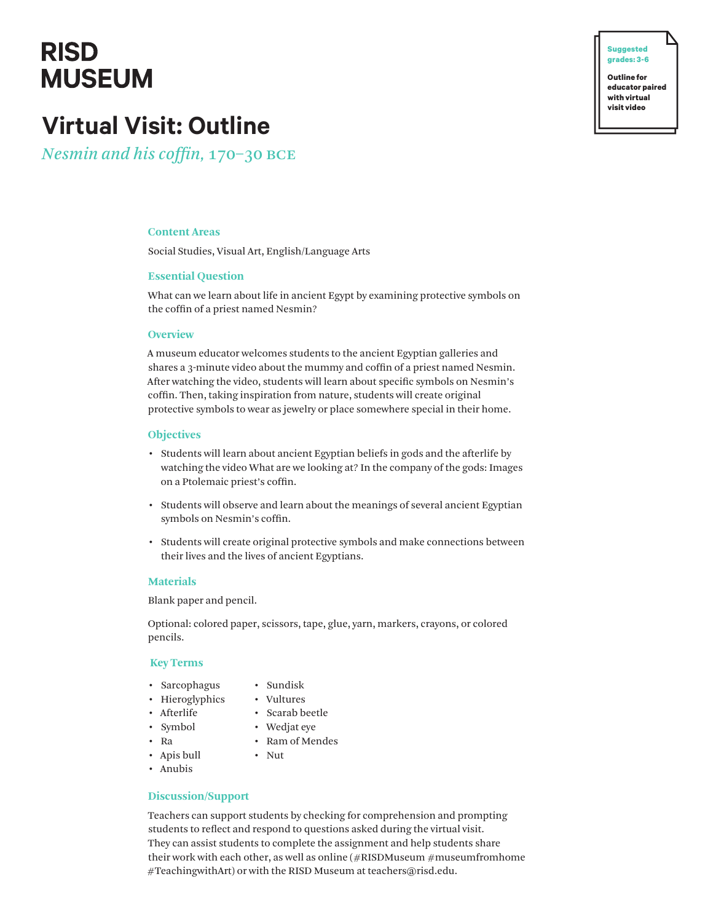## **RISD MUSEUM**

**� Suggested grades: 3-6**

**Outline for educator paired with virtual visit video**

## **Virtual Visit: Outline**

*Nesmin and his coffin,* 170–30 bce

## **Content Areas**

Social Studies, Visual Art, English/Language Arts

## **Essential Question**

What can we learn about life in ancient Egypt by examining protective symbols on the coffin of a priest named Nesmin?

#### **Overview**

A museum educator welcomes students to the ancient Egyptian galleries and shares a 3-minute video about the mummy and coffin of a priest named Nesmin. After watching the video, students will learn about specific symbols on Nesmin's coffin. Then, taking inspiration from nature, students will create original protective symbols to wear as jewelry or place somewhere special in their home.

#### **Objectives**

- Students will learn about ancient Egyptian beliefs in gods and the afterlife by watching the video What are we looking at? In the company of the gods: Images on a Ptolemaic priest's coffin.
- Students will observe and learn about the meanings of several ancient Egyptian symbols on Nesmin's coffin.
- Students will create original protective symbols and make connections between their lives and the lives of ancient Egyptians.

## **Materials**

Blank paper and pencil.

Optional: colored paper, scissors, tape, glue, yarn, markers, crayons, or colored pencils.

#### **Key Terms**

- Sarcophagus
- Sundisk
- Hieroglyphics
- Vultures
- Afterlife
- Scarab beetle • Wedjat eye
- Symbol
- Ra
- Ram of Mendes • Nut
- Apis bull
- Anubis

## **Discussion/Support**

Teachers can support students by checking for comprehension and prompting students to reflect and respond to questions asked during the virtual visit. They can assist students to complete the assignment and help students share their work with each other, as well as online (#RISDMuseum #museumfromhome #TeachingwithArt) or with the RISD Museum at teachers@risd.edu.